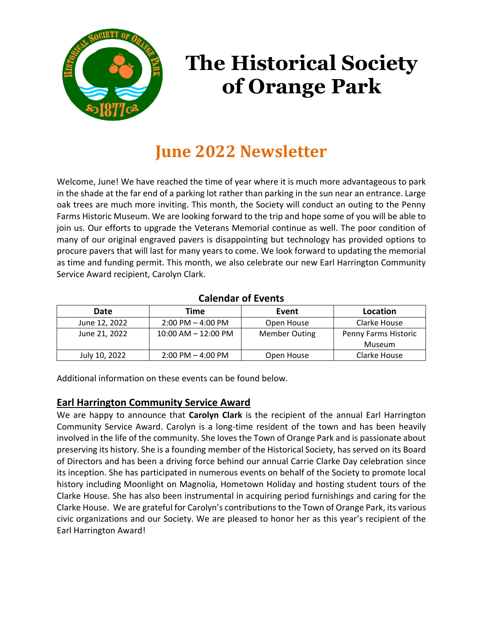

# **The Historical Society of Orange Park**

# **June 2022 Newsletter**

Welcome, June! We have reached the time of year where it is much more advantageous to park in the shade at the far end of a parking lot rather than parking in the sun near an entrance. Large oak trees are much more inviting. This month, the Society will conduct an outing to the Penny Farms Historic Museum. We are looking forward to the trip and hope some of you will be able to join us. Our efforts to upgrade the Veterans Memorial continue as well. The poor condition of many of our original engraved pavers is disappointing but technology has provided options to procure pavers that will last for many years to come. We look forward to updating the memorial as time and funding permit. This month, we also celebrate our new Earl Harrington Community Service Award recipient, Carolyn Clark.

#### **Calendar of Events**

| Date          | Time                    | Event                | Location             |
|---------------|-------------------------|----------------------|----------------------|
| June 12, 2022 | $2:00$ PM $-$ 4:00 PM   | Open House           | Clarke House         |
| June 21, 2022 | $10:00$ AM $- 12:00$ PM | <b>Member Outing</b> | Penny Farms Historic |
|               |                         |                      | Museum               |
| July 10, 2022 | $2:00$ PM $-$ 4:00 PM   | Open House           | Clarke House         |

Additional information on these events can be found below.

# **Earl Harrington Community Service Award**

We are happy to announce that **Carolyn Clark** is the recipient of the annual Earl Harrington Community Service Award. Carolyn is a long-time resident of the town and has been heavily involved in the life of the community. She loves the Town of Orange Park and is passionate about preserving its history. She is a founding member of the Historical Society, has served on its Board of Directors and has been a driving force behind our annual Carrie Clarke Day celebration since its inception. She has participated in numerous events on behalf of the Society to promote local history including Moonlight on Magnolia, Hometown Holiday and hosting student tours of the Clarke House. She has also been instrumental in acquiring period furnishings and caring for the Clarke House. We are grateful for Carolyn's contributionsto the Town of Orange Park, its various civic organizations and our Society. We are pleased to honor her as this year's recipient of the Earl Harrington Award!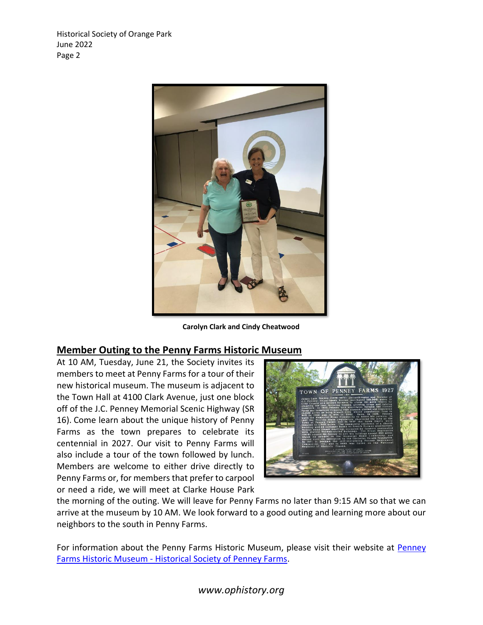

**Carolyn Clark and Cindy Cheatwood**

#### **Member Outing to the Penny Farms Historic Museum**

At 10 AM, Tuesday, June 21, the Society invites its members to meet at Penny Farms for a tour of their new historical museum. The museum is adjacent to the Town Hall at 4100 Clark Avenue, just one block off of the J.C. Penney Memorial Scenic Highway (SR 16). Come learn about the unique history of Penny Farms as the town prepares to celebrate its centennial in 2027. Our visit to Penny Farms will also include a tour of the town followed by lunch. Members are welcome to either drive directly to Penny Farms or, for members that prefer to carpool or need a ride, we will meet at Clarke House Park



the morning of the outing. We will leave for Penny Farms no later than 9:15 AM so that we can arrive at the museum by 10 AM. We look forward to a good outing and learning more about our neighbors to the south in Penny Farms.

For information about the Penny Farms Historic Museum, please visit their website at [Penney](https://historicalsocietyofpenneyfarms.org/penney-farms-historic-museum/)  Farms Historic Museum - [Historical Society of Penney Farms.](https://historicalsocietyofpenneyfarms.org/penney-farms-historic-museum/)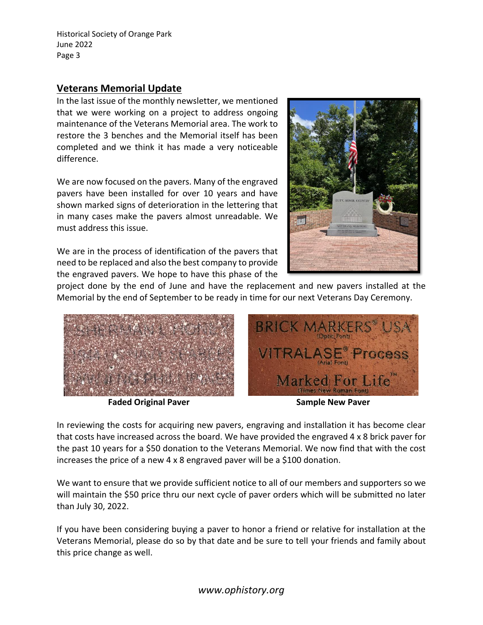#### **Veterans Memorial Update**

In the last issue of the monthly newsletter, we mentioned that we were working on a project to address ongoing maintenance of the Veterans Memorial area. The work to restore the 3 benches and the Memorial itself has been completed and we think it has made a very noticeable difference.

We are now focused on the pavers. Many of the engraved pavers have been installed for over 10 years and have shown marked signs of deterioration in the lettering that in many cases make the pavers almost unreadable. We must address this issue.

We are in the process of identification of the pavers that need to be replaced and also the best company to provide the engraved pavers. We hope to have this phase of the



project done by the end of June and have the replacement and new pavers installed at the Memorial by the end of September to be ready in time for our next Veterans Day Ceremony.



**Faded Original Paver Sample New Paver**

In reviewing the costs for acquiring new pavers, engraving and installation it has become clear that costs have increased across the board. We have provided the engraved 4 x 8 brick paver for the past 10 years for a \$50 donation to the Veterans Memorial. We now find that with the cost increases the price of a new 4 x 8 engraved paver will be a \$100 donation.

We want to ensure that we provide sufficient notice to all of our members and supporters so we will maintain the \$50 price thru our next cycle of paver orders which will be submitted no later than July 30, 2022.

If you have been considering buying a paver to honor a friend or relative for installation at the Veterans Memorial, please do so by that date and be sure to tell your friends and family about this price change as well.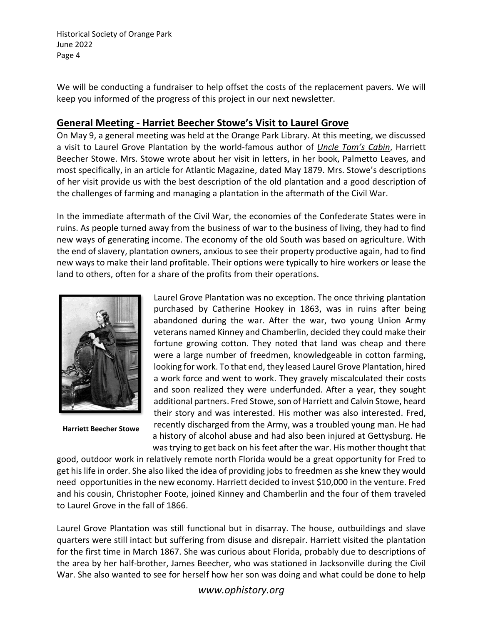We will be conducting a fundraiser to help offset the costs of the replacement pavers. We will keep you informed of the progress of this project in our next newsletter.

#### **General Meeting - Harriet Beecher Stowe's Visit to Laurel Grove**

On May 9, a general meeting was held at the Orange Park Library. At this meeting, we discussed a visit to Laurel Grove Plantation by the world-famous author of *Uncle Tom's Cabin*, Harriett Beecher Stowe. Mrs. Stowe wrote about her visit in letters, in her book, Palmetto Leaves, and most specifically, in an article for Atlantic Magazine, dated May 1879. Mrs. Stowe's descriptions of her visit provide us with the best description of the old plantation and a good description of the challenges of farming and managing a plantation in the aftermath of the Civil War.

In the immediate aftermath of the Civil War, the economies of the Confederate States were in ruins. As people turned away from the business of war to the business of living, they had to find new ways of generating income. The economy of the old South was based on agriculture. With the end of slavery, plantation owners, anxious to see their property productive again, had to find new ways to make their land profitable. Their options were typically to hire workers or lease the land to others, often for a share of the profits from their operations.



**Harriett Beecher Stowe**

Laurel Grove Plantation was no exception. The once thriving plantation purchased by Catherine Hookey in 1863, was in ruins after being abandoned during the war. After the war, two young Union Army veterans named Kinney and Chamberlin, decided they could make their fortune growing cotton. They noted that land was cheap and there were a large number of freedmen, knowledgeable in cotton farming, looking for work. To that end, they leased Laurel Grove Plantation, hired a work force and went to work. They gravely miscalculated their costs and soon realized they were underfunded. After a year, they sought additional partners. Fred Stowe, son of Harriett and Calvin Stowe, heard their story and was interested. His mother was also interested. Fred, recently discharged from the Army, was a troubled young man. He had a history of alcohol abuse and had also been injured at Gettysburg. He was trying to get back on his feet after the war. His mother thought that

good, outdoor work in relatively remote north Florida would be a great opportunity for Fred to get his life in order. She also liked the idea of providing jobs to freedmen as she knew they would need opportunities in the new economy. Harriett decided to invest \$10,000 in the venture. Fred and his cousin, Christopher Foote, joined Kinney and Chamberlin and the four of them traveled to Laurel Grove in the fall of 1866.

Laurel Grove Plantation was still functional but in disarray. The house, outbuildings and slave quarters were still intact but suffering from disuse and disrepair. Harriett visited the plantation for the first time in March 1867. She was curious about Florida, probably due to descriptions of the area by her half-brother, James Beecher, who was stationed in Jacksonville during the Civil War. She also wanted to see for herself how her son was doing and what could be done to help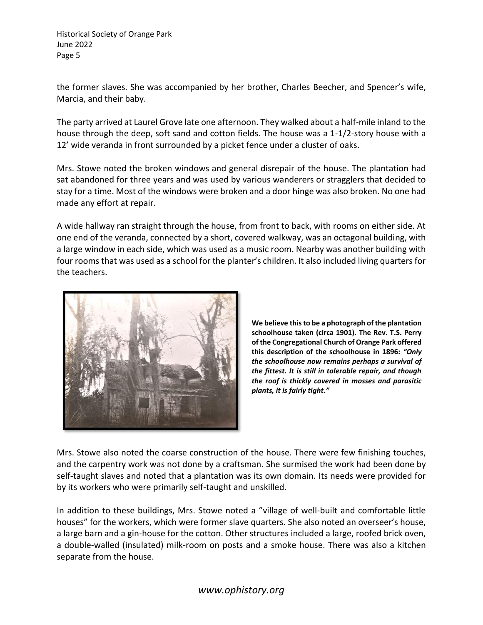the former slaves. She was accompanied by her brother, Charles Beecher, and Spencer's wife, Marcia, and their baby.

The party arrived at Laurel Grove late one afternoon. They walked about a half-mile inland to the house through the deep, soft sand and cotton fields. The house was a 1-1/2-story house with a 12' wide veranda in front surrounded by a picket fence under a cluster of oaks.

Mrs. Stowe noted the broken windows and general disrepair of the house. The plantation had sat abandoned for three years and was used by various wanderers or stragglers that decided to stay for a time. Most of the windows were broken and a door hinge was also broken. No one had made any effort at repair.

A wide hallway ran straight through the house, from front to back, with rooms on either side. At one end of the veranda, connected by a short, covered walkway, was an octagonal building, with a large window in each side, which was used as a music room. Nearby was another building with four rooms that was used as a school for the planter's children. It also included living quarters for the teachers.



**We believe this to be a photograph of the plantation schoolhouse taken (circa 1901). The Rev. T.S. Perry of the Congregational Church of Orange Park offered this description of the schoolhouse in 1896:** *"Only the schoolhouse now remains perhaps a survival of the fittest. It is still in tolerable repair, and though the roof is thickly covered in mosses and parasitic plants, it is fairly tight."*

Mrs. Stowe also noted the coarse construction of the house. There were few finishing touches, and the carpentry work was not done by a craftsman. She surmised the work had been done by self-taught slaves and noted that a plantation was its own domain. Its needs were provided for by its workers who were primarily self-taught and unskilled.

In addition to these buildings, Mrs. Stowe noted a "village of well-built and comfortable little houses" for the workers, which were former slave quarters. She also noted an overseer's house, a large barn and a gin-house for the cotton. Other structures included a large, roofed brick oven, a double-walled (insulated) milk-room on posts and a smoke house. There was also a kitchen separate from the house.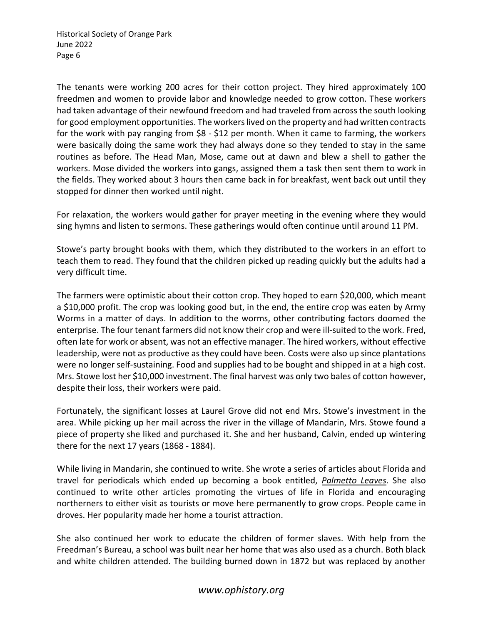The tenants were working 200 acres for their cotton project. They hired approximately 100 freedmen and women to provide labor and knowledge needed to grow cotton. These workers had taken advantage of their newfound freedom and had traveled from across the south looking for good employment opportunities. The workers lived on the property and had written contracts for the work with pay ranging from \$8 - \$12 per month. When it came to farming, the workers were basically doing the same work they had always done so they tended to stay in the same routines as before. The Head Man, Mose, came out at dawn and blew a shell to gather the workers. Mose divided the workers into gangs, assigned them a task then sent them to work in the fields. They worked about 3 hours then came back in for breakfast, went back out until they stopped for dinner then worked until night.

For relaxation, the workers would gather for prayer meeting in the evening where they would sing hymns and listen to sermons. These gatherings would often continue until around 11 PM.

Stowe's party brought books with them, which they distributed to the workers in an effort to teach them to read. They found that the children picked up reading quickly but the adults had a very difficult time.

The farmers were optimistic about their cotton crop. They hoped to earn \$20,000, which meant a \$10,000 profit. The crop was looking good but, in the end, the entire crop was eaten by Army Worms in a matter of days. In addition to the worms, other contributing factors doomed the enterprise. The four tenant farmers did not know their crop and were ill-suited to the work. Fred, often late for work or absent, was not an effective manager. The hired workers, without effective leadership, were not as productive as they could have been. Costs were also up since plantations were no longer self-sustaining. Food and supplies had to be bought and shipped in at a high cost. Mrs. Stowe lost her \$10,000 investment. The final harvest was only two bales of cotton however, despite their loss, their workers were paid.

Fortunately, the significant losses at Laurel Grove did not end Mrs. Stowe's investment in the area. While picking up her mail across the river in the village of Mandarin, Mrs. Stowe found a piece of property she liked and purchased it. She and her husband, Calvin, ended up wintering there for the next 17 years (1868 - 1884).

While living in Mandarin, she continued to write. She wrote a series of articles about Florida and travel for periodicals which ended up becoming a book entitled, *Palmetto Leaves*. She also continued to write other articles promoting the virtues of life in Florida and encouraging northerners to either visit as tourists or move here permanently to grow crops. People came in droves. Her popularity made her home a tourist attraction.

She also continued her work to educate the children of former slaves. With help from the Freedman's Bureau, a school was built near her home that was also used as a church. Both black and white children attended. The building burned down in 1872 but was replaced by another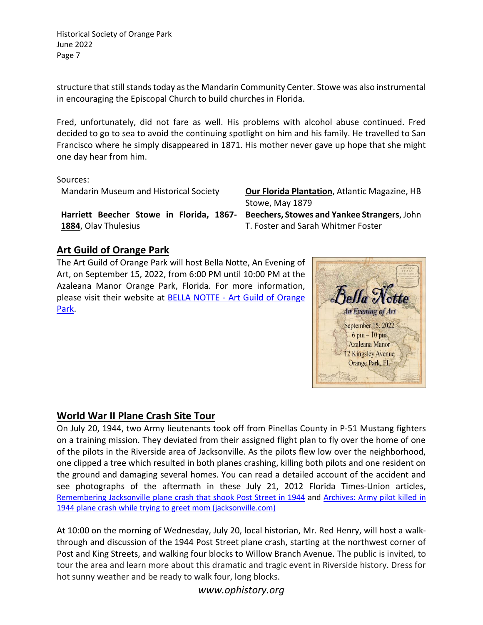structure that still stands today as the Mandarin Community Center. Stowe was also instrumental in encouraging the Episcopal Church to build churches in Florida.

Fred, unfortunately, did not fare as well. His problems with alcohol abuse continued. Fred decided to go to sea to avoid the continuing spotlight on him and his family. He travelled to San Francisco where he simply disappeared in 1871. His mother never gave up hope that she might one day hear from him.

Sources:

**Harriett Beecher Stowe in Florida, 1867- 1884**, Olav Thulesius

Mandarin Museum and Historical Society **Our Florida Plantation**, Atlantic Magazine, HB Stowe, May 1879

> **Beechers, Stowes and Yankee Strangers**, John T. Foster and Sarah Whitmer Foster

# **Art Guild of Orange Park**

The Art Guild of Orange Park will host Bella Notte, An Evening of Art, on September 15, 2022, from 6:00 PM until 10:00 PM at the Azaleana Manor Orange Park, Florida. For more information, please visit their website at BELLA NOTTE - [Art Guild of Orange](https://artguildoforangepark.org/special-events/)  [Park.](https://artguildoforangepark.org/special-events/)



# **World War II Plane Crash Site Tour**

On July 20, 1944, two Army lieutenants took off from Pinellas County in P-51 Mustang fighters on a training mission. They deviated from their assigned flight plan to fly over the home of one of the pilots in the Riverside area of Jacksonville. As the pilots flew low over the neighborhood, one clipped a tree which resulted in both planes crashing, killing both pilots and one resident on the ground and damaging several homes. You can read a detailed account of the accident and see photographs of the aftermath in these July 21, 2012 Florida Times-Union articles, [Remembering Jacksonville plane crash that shook Post Street in 1944](https://www.jacksonville.com/story/news/military/2012/07/21/remembering-jacksonville-plane-crash-shook-post-street-1944/15860372007/) and [Archives: Army pilot killed in](https://www.jacksonville.com/picture-gallery/news/military/2012/07/21/archives-army-pilot-killed-in/851961007/)  [1944 plane crash while trying to greet mom \(jacksonville.com\)](https://www.jacksonville.com/picture-gallery/news/military/2012/07/21/archives-army-pilot-killed-in/851961007/)

At 10:00 on the morning of Wednesday, July 20, local historian, Mr. Red Henry, will host a walkthrough and discussion of the 1944 Post Street plane crash, starting at the northwest corner of Post and King Streets, and walking four blocks to Willow Branch Avenue. The public is invited, to tour the area and learn more about this dramatic and tragic event in Riverside history. Dress for hot sunny weather and be ready to walk four, long blocks.